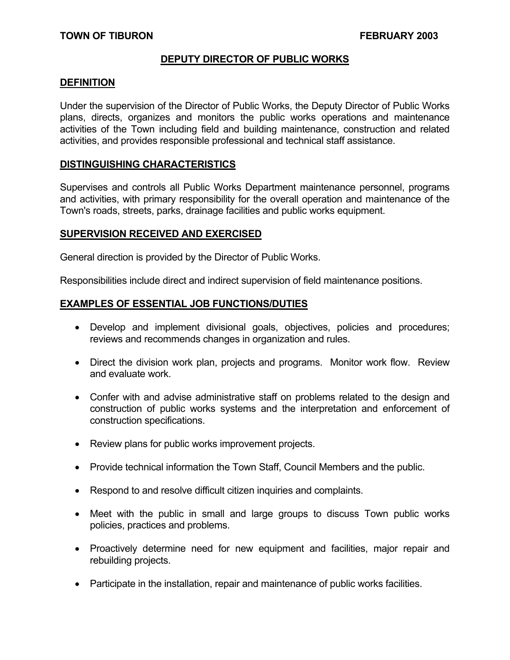### **DEPUTY DIRECTOR OF PUBLIC WORKS**

#### **DEFINITION**

Under the supervision of the Director of Public Works, the Deputy Director of Public Works plans, directs, organizes and monitors the public works operations and maintenance activities of the Town including field and building maintenance, construction and related activities, and provides responsible professional and technical staff assistance.

#### **DISTINGUISHING CHARACTERISTICS**

Supervises and controls all Public Works Department maintenance personnel, programs and activities, with primary responsibility for the overall operation and maintenance of the Town's roads, streets, parks, drainage facilities and public works equipment.

#### **SUPERVISION RECEIVED AND EXERCISED**

General direction is provided by the Director of Public Works.

Responsibilities include direct and indirect supervision of field maintenance positions.

#### **EXAMPLES OF ESSENTIAL JOB FUNCTIONS/DUTIES**

- Develop and implement divisional goals, objectives, policies and procedures; reviews and recommends changes in organization and rules.
- Direct the division work plan, projects and programs. Monitor work flow. Review and evaluate work.
- Confer with and advise administrative staff on problems related to the design and construction of public works systems and the interpretation and enforcement of construction specifications.
- Review plans for public works improvement projects.
- Provide technical information the Town Staff, Council Members and the public.
- Respond to and resolve difficult citizen inquiries and complaints.
- Meet with the public in small and large groups to discuss Town public works policies, practices and problems.
- Proactively determine need for new equipment and facilities, major repair and rebuilding projects.
- Participate in the installation, repair and maintenance of public works facilities.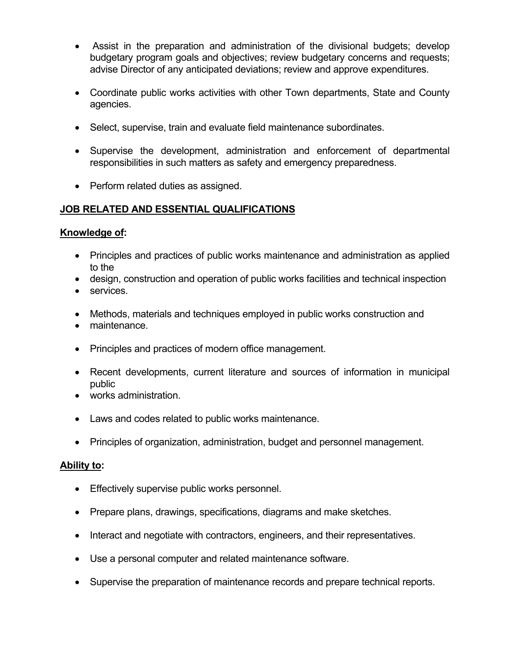- Assist in the preparation and administration of the divisional budgets; develop budgetary program goals and objectives; review budgetary concerns and requests; advise Director of any anticipated deviations; review and approve expenditures.
- Coordinate public works activities with other Town departments, State and County agencies.
- Select, supervise, train and evaluate field maintenance subordinates.
- Supervise the development, administration and enforcement of departmental responsibilities in such matters as safety and emergency preparedness.
- Perform related duties as assigned.

# **JOB RELATED AND ESSENTIAL QUALIFICATIONS**

## **Knowledge of:**

- Principles and practices of public works maintenance and administration as applied to the
- design, construction and operation of public works facilities and technical inspection
- services.
- Methods, materials and techniques employed in public works construction and
- maintenance.
- Principles and practices of modern office management.
- Recent developments, current literature and sources of information in municipal public
- works administration.
- Laws and codes related to public works maintenance.
- Principles of organization, administration, budget and personnel management.

## **Ability to:**

- Effectively supervise public works personnel.
- Prepare plans, drawings, specifications, diagrams and make sketches.
- Interact and negotiate with contractors, engineers, and their representatives.
- Use a personal computer and related maintenance software.
- Supervise the preparation of maintenance records and prepare technical reports.